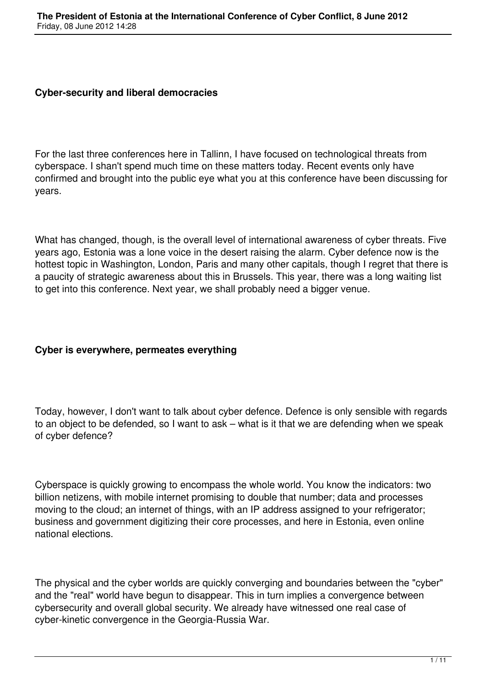## **Cyber-security and liberal democracies**

For the last three conferences here in Tallinn, I have focused on technological threats from cyberspace. I shan't spend much time on these matters today. Recent events only have confirmed and brought into the public eye what you at this conference have been discussing for years.

What has changed, though, is the overall level of international awareness of cyber threats. Five years ago, Estonia was a lone voice in the desert raising the alarm. Cyber defence now is the hottest topic in Washington, London, Paris and many other capitals, though I regret that there is a paucity of strategic awareness about this in Brussels. This year, there was a long waiting list to get into this conference. Next year, we shall probably need a bigger venue.

# **Cyber is everywhere, permeates everything**

Today, however, I don't want to talk about cyber defence. Defence is only sensible with regards to an object to be defended, so I want to ask – what is it that we are defending when we speak of cyber defence?

Cyberspace is quickly growing to encompass the whole world. You know the indicators: two billion netizens, with mobile internet promising to double that number; data and processes moving to the cloud; an internet of things, with an IP address assigned to your refrigerator; business and government digitizing their core processes, and here in Estonia, even online national elections.

The physical and the cyber worlds are quickly converging and boundaries between the "cyber" and the "real" world have begun to disappear. This in turn implies a convergence between cybersecurity and overall global security. We already have witnessed one real case of cyber-kinetic convergence in the Georgia-Russia War.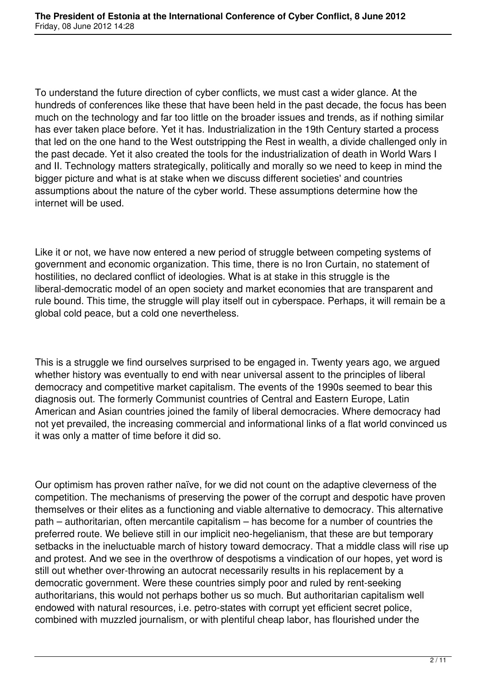To understand the future direction of cyber conflicts, we must cast a wider glance. At the hundreds of conferences like these that have been held in the past decade, the focus has been much on the technology and far too little on the broader issues and trends, as if nothing similar has ever taken place before. Yet it has. Industrialization in the 19th Century started a process that led on the one hand to the West outstripping the Rest in wealth, a divide challenged only in the past decade. Yet it also created the tools for the industrialization of death in World Wars I and II. Technology matters strategically, politically and morally so we need to keep in mind the bigger picture and what is at stake when we discuss different societies' and countries assumptions about the nature of the cyber world. These assumptions determine how the internet will be used.

Like it or not, we have now entered a new period of struggle between competing systems of government and economic organization. This time, there is no Iron Curtain, no statement of hostilities, no declared conflict of ideologies. What is at stake in this struggle is the liberal-democratic model of an open society and market economies that are transparent and rule bound. This time, the struggle will play itself out in cyberspace. Perhaps, it will remain be a global cold peace, but a cold one nevertheless.

This is a struggle we find ourselves surprised to be engaged in. Twenty years ago, we argued whether history was eventually to end with near universal assent to the principles of liberal democracy and competitive market capitalism. The events of the 1990s seemed to bear this diagnosis out. The formerly Communist countries of Central and Eastern Europe, Latin American and Asian countries joined the family of liberal democracies. Where democracy had not yet prevailed, the increasing commercial and informational links of a flat world convinced us it was only a matter of time before it did so.

Our optimism has proven rather naïve, for we did not count on the adaptive cleverness of the competition. The mechanisms of preserving the power of the corrupt and despotic have proven themselves or their elites as a functioning and viable alternative to democracy. This alternative path – authoritarian, often mercantile capitalism – has become for a number of countries the preferred route. We believe still in our implicit neo-hegelianism, that these are but temporary setbacks in the ineluctuable march of history toward democracy. That a middle class will rise up and protest. And we see in the overthrow of despotisms a vindication of our hopes, yet word is still out whether over-throwing an autocrat necessarily results in his replacement by a democratic government. Were these countries simply poor and ruled by rent-seeking authoritarians, this would not perhaps bother us so much. But authoritarian capitalism well endowed with natural resources, i.e. petro-states with corrupt yet efficient secret police, combined with muzzled journalism, or with plentiful cheap labor, has flourished under the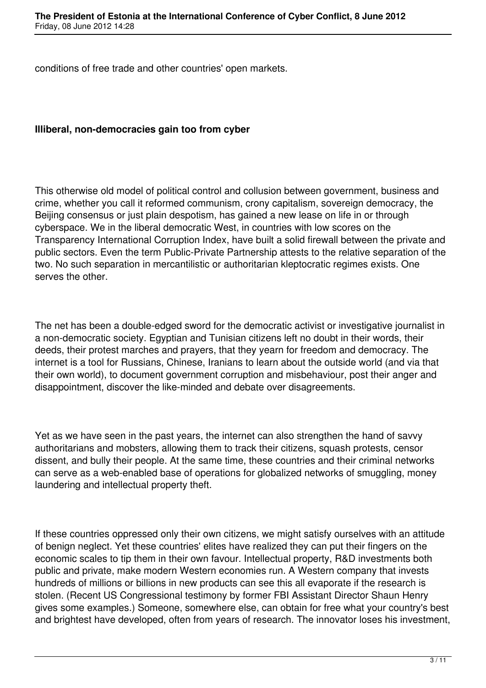conditions of free trade and other countries' open markets.

## **Illiberal, non-democracies gain too from cyber**

This otherwise old model of political control and collusion between government, business and crime, whether you call it reformed communism, crony capitalism, sovereign democracy, the Beijing consensus or just plain despotism, has gained a new lease on life in or through cyberspace. We in the liberal democratic West, in countries with low scores on the Transparency International Corruption Index, have built a solid firewall between the private and public sectors. Even the term Public-Private Partnership attests to the relative separation of the two. No such separation in mercantilistic or authoritarian kleptocratic regimes exists. One serves the other.

The net has been a double-edged sword for the democratic activist or investigative journalist in a non-democratic society. Egyptian and Tunisian citizens left no doubt in their words, their deeds, their protest marches and prayers, that they yearn for freedom and democracy. The internet is a tool for Russians, Chinese, Iranians to learn about the outside world (and via that their own world), to document government corruption and misbehaviour, post their anger and disappointment, discover the like-minded and debate over disagreements.

Yet as we have seen in the past years, the internet can also strengthen the hand of savvy authoritarians and mobsters, allowing them to track their citizens, squash protests, censor dissent, and bully their people. At the same time, these countries and their criminal networks can serve as a web-enabled base of operations for globalized networks of smuggling, money laundering and intellectual property theft.

If these countries oppressed only their own citizens, we might satisfy ourselves with an attitude of benign neglect. Yet these countries' elites have realized they can put their fingers on the economic scales to tip them in their own favour. Intellectual property, R&D investments both public and private, make modern Western economies run. A Western company that invests hundreds of millions or billions in new products can see this all evaporate if the research is stolen. (Recent US Congressional testimony by former FBI Assistant Director Shaun Henry gives some examples.) Someone, somewhere else, can obtain for free what your country's best and brightest have developed, often from years of research. The innovator loses his investment,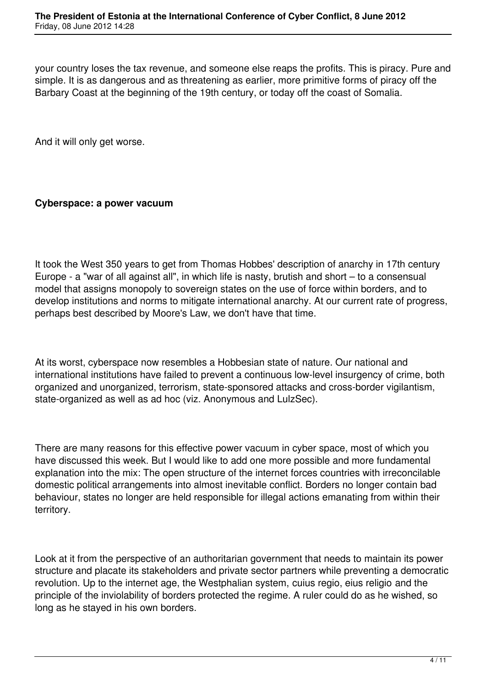your country loses the tax revenue, and someone else reaps the profits. This is piracy. Pure and simple. It is as dangerous and as threatening as earlier, more primitive forms of piracy off the Barbary Coast at the beginning of the 19th century, or today off the coast of Somalia.

And it will only get worse.

## **Cyberspace: a power vacuum**

It took the West 350 years to get from Thomas Hobbes' description of anarchy in 17th century Europe - a "war of all against all", in which life is nasty, brutish and short – to a consensual model that assigns monopoly to sovereign states on the use of force within borders, and to develop institutions and norms to mitigate international anarchy. At our current rate of progress, perhaps best described by Moore's Law, we don't have that time.

At its worst, cyberspace now resembles a Hobbesian state of nature. Our national and international institutions have failed to prevent a continuous low-level insurgency of crime, both organized and unorganized, terrorism, state-sponsored attacks and cross-border vigilantism, state-organized as well as ad hoc (viz. Anonymous and LulzSec).

There are many reasons for this effective power vacuum in cyber space, most of which you have discussed this week. But I would like to add one more possible and more fundamental explanation into the mix: The open structure of the internet forces countries with irreconcilable domestic political arrangements into almost inevitable conflict. Borders no longer contain bad behaviour, states no longer are held responsible for illegal actions emanating from within their territory.

Look at it from the perspective of an authoritarian government that needs to maintain its power structure and placate its stakeholders and private sector partners while preventing a democratic revolution. Up to the internet age, the Westphalian system, cuius regio, eius religio and the principle of the inviolability of borders protected the regime. A ruler could do as he wished, so long as he stayed in his own borders.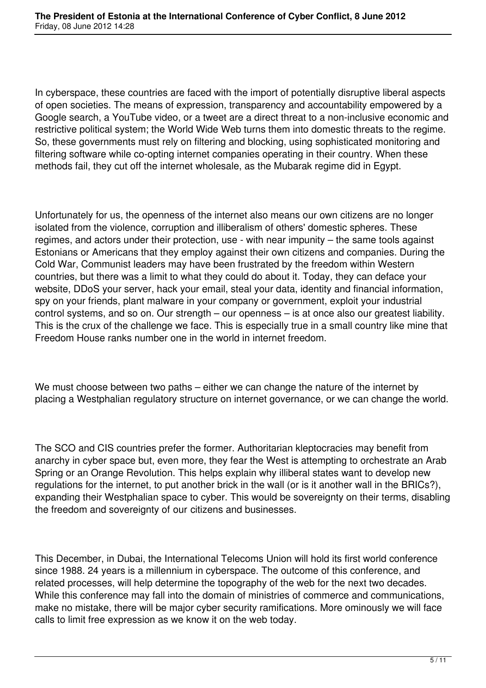In cyberspace, these countries are faced with the import of potentially disruptive liberal aspects of open societies. The means of expression, transparency and accountability empowered by a Google search, a YouTube video, or a tweet are a direct threat to a non-inclusive economic and restrictive political system; the World Wide Web turns them into domestic threats to the regime. So, these governments must rely on filtering and blocking, using sophisticated monitoring and filtering software while co-opting internet companies operating in their country. When these methods fail, they cut off the internet wholesale, as the Mubarak regime did in Egypt.

Unfortunately for us, the openness of the internet also means our own citizens are no longer isolated from the violence, corruption and illiberalism of others' domestic spheres. These regimes, and actors under their protection, use - with near impunity – the same tools against Estonians or Americans that they employ against their own citizens and companies. During the Cold War, Communist leaders may have been frustrated by the freedom within Western countries, but there was a limit to what they could do about it. Today, they can deface your website, DDoS your server, hack your email, steal your data, identity and financial information, spy on your friends, plant malware in your company or government, exploit your industrial control systems, and so on. Our strength – our openness – is at once also our greatest liability. This is the crux of the challenge we face. This is especially true in a small country like mine that Freedom House ranks number one in the world in internet freedom.

We must choose between two paths – either we can change the nature of the internet by placing a Westphalian regulatory structure on internet governance, or we can change the world.

The SCO and CIS countries prefer the former. Authoritarian kleptocracies may benefit from anarchy in cyber space but, even more, they fear the West is attempting to orchestrate an Arab Spring or an Orange Revolution. This helps explain why illiberal states want to develop new regulations for the internet, to put another brick in the wall (or is it another wall in the BRICs?), expanding their Westphalian space to cyber. This would be sovereignty on their terms, disabling the freedom and sovereignty of our citizens and businesses.

This December, in Dubai, the International Telecoms Union will hold its first world conference since 1988. 24 years is a millennium in cyberspace. The outcome of this conference, and related processes, will help determine the topography of the web for the next two decades. While this conference may fall into the domain of ministries of commerce and communications, make no mistake, there will be major cyber security ramifications. More ominously we will face calls to limit free expression as we know it on the web today.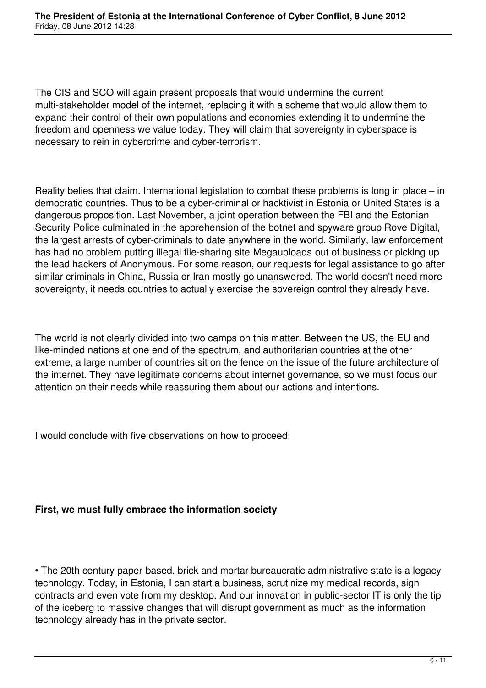The CIS and SCO will again present proposals that would undermine the current multi-stakeholder model of the internet, replacing it with a scheme that would allow them to expand their control of their own populations and economies extending it to undermine the freedom and openness we value today. They will claim that sovereignty in cyberspace is necessary to rein in cybercrime and cyber-terrorism.

Reality belies that claim. International legislation to combat these problems is long in place – in democratic countries. Thus to be a cyber-criminal or hacktivist in Estonia or United States is a dangerous proposition. Last November, a joint operation between the FBI and the Estonian Security Police culminated in the apprehension of the botnet and spyware group Rove Digital, the largest arrests of cyber-criminals to date anywhere in the world. Similarly, law enforcement has had no problem putting illegal file-sharing site Megauploads out of business or picking up the lead hackers of Anonymous. For some reason, our requests for legal assistance to go after similar criminals in China, Russia or Iran mostly go unanswered. The world doesn't need more sovereignty, it needs countries to actually exercise the sovereign control they already have.

The world is not clearly divided into two camps on this matter. Between the US, the EU and like-minded nations at one end of the spectrum, and authoritarian countries at the other extreme, a large number of countries sit on the fence on the issue of the future architecture of the internet. They have legitimate concerns about internet governance, so we must focus our attention on their needs while reassuring them about our actions and intentions.

I would conclude with five observations on how to proceed:

# **First, we must fully embrace the information society**

• The 20th century paper-based, brick and mortar bureaucratic administrative state is a legacy technology. Today, in Estonia, I can start a business, scrutinize my medical records, sign contracts and even vote from my desktop. And our innovation in public-sector IT is only the tip of the iceberg to massive changes that will disrupt government as much as the information technology already has in the private sector.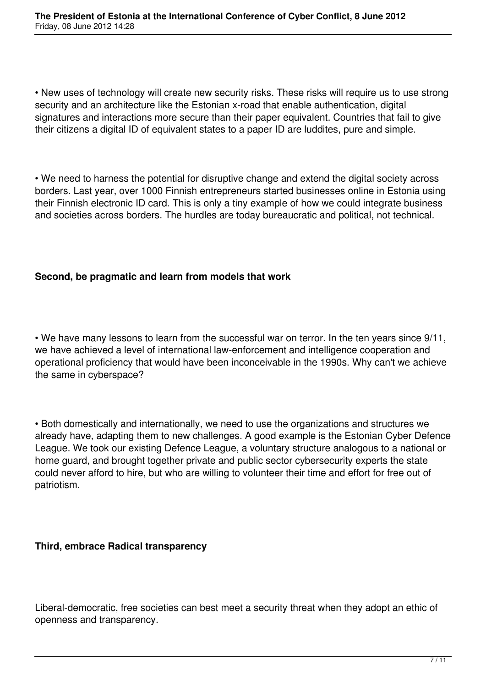• New uses of technology will create new security risks. These risks will require us to use strong security and an architecture like the Estonian x-road that enable authentication, digital signatures and interactions more secure than their paper equivalent. Countries that fail to give their citizens a digital ID of equivalent states to a paper ID are luddites, pure and simple.

• We need to harness the potential for disruptive change and extend the digital society across borders. Last year, over 1000 Finnish entrepreneurs started businesses online in Estonia using their Finnish electronic ID card. This is only a tiny example of how we could integrate business and societies across borders. The hurdles are today bureaucratic and political, not technical.

## **Second, be pragmatic and learn from models that work**

• We have many lessons to learn from the successful war on terror. In the ten years since 9/11, we have achieved a level of international law-enforcement and intelligence cooperation and operational proficiency that would have been inconceivable in the 1990s. Why can't we achieve the same in cyberspace?

• Both domestically and internationally, we need to use the organizations and structures we already have, adapting them to new challenges. A good example is the Estonian Cyber Defence League. We took our existing Defence League, a voluntary structure analogous to a national or home guard, and brought together private and public sector cybersecurity experts the state could never afford to hire, but who are willing to volunteer their time and effort for free out of patriotism.

### **Third, embrace Radical transparency**

Liberal-democratic, free societies can best meet a security threat when they adopt an ethic of openness and transparency.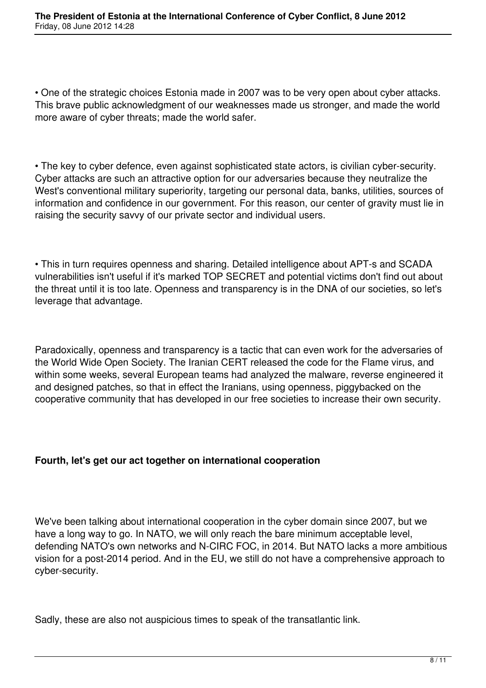• One of the strategic choices Estonia made in 2007 was to be very open about cyber attacks. This brave public acknowledgment of our weaknesses made us stronger, and made the world more aware of cyber threats; made the world safer.

• The key to cyber defence, even against sophisticated state actors, is civilian cyber-security. Cyber attacks are such an attractive option for our adversaries because they neutralize the West's conventional military superiority, targeting our personal data, banks, utilities, sources of information and confidence in our government. For this reason, our center of gravity must lie in raising the security savvy of our private sector and individual users.

• This in turn requires openness and sharing. Detailed intelligence about APT-s and SCADA vulnerabilities isn't useful if it's marked TOP SECRET and potential victims don't find out about the threat until it is too late. Openness and transparency is in the DNA of our societies, so let's leverage that advantage.

Paradoxically, openness and transparency is a tactic that can even work for the adversaries of the World Wide Open Society. The Iranian CERT released the code for the Flame virus, and within some weeks, several European teams had analyzed the malware, reverse engineered it and designed patches, so that in effect the Iranians, using openness, piggybacked on the cooperative community that has developed in our free societies to increase their own security.

# **Fourth, let's get our act together on international cooperation**

We've been talking about international cooperation in the cyber domain since 2007, but we have a long way to go. In NATO, we will only reach the bare minimum acceptable level, defending NATO's own networks and N-CIRC FOC, in 2014. But NATO lacks a more ambitious vision for a post-2014 period. And in the EU, we still do not have a comprehensive approach to cyber-security.

Sadly, these are also not auspicious times to speak of the transatlantic link.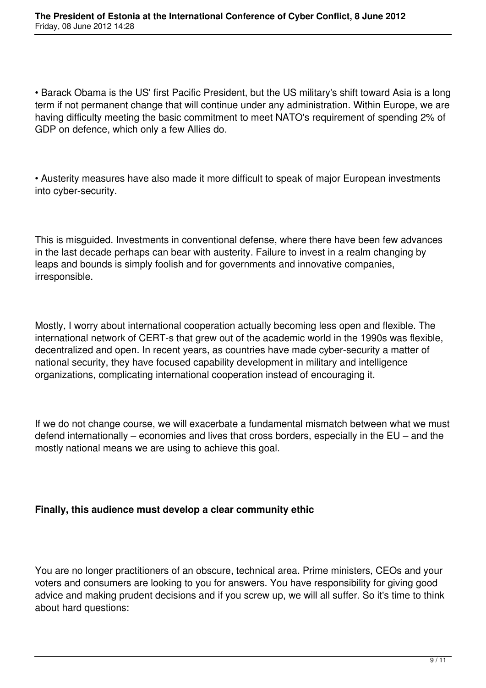• Barack Obama is the US' first Pacific President, but the US military's shift toward Asia is a long term if not permanent change that will continue under any administration. Within Europe, we are having difficulty meeting the basic commitment to meet NATO's requirement of spending 2% of GDP on defence, which only a few Allies do.

• Austerity measures have also made it more difficult to speak of major European investments into cyber-security.

This is misguided. Investments in conventional defense, where there have been few advances in the last decade perhaps can bear with austerity. Failure to invest in a realm changing by leaps and bounds is simply foolish and for governments and innovative companies, irresponsible.

Mostly, I worry about international cooperation actually becoming less open and flexible. The international network of CERT-s that grew out of the academic world in the 1990s was flexible, decentralized and open. In recent years, as countries have made cyber-security a matter of national security, they have focused capability development in military and intelligence organizations, complicating international cooperation instead of encouraging it.

If we do not change course, we will exacerbate a fundamental mismatch between what we must defend internationally – economies and lives that cross borders, especially in the EU – and the mostly national means we are using to achieve this goal.

# **Finally, this audience must develop a clear community ethic**

You are no longer practitioners of an obscure, technical area. Prime ministers, CEOs and your voters and consumers are looking to you for answers. You have responsibility for giving good advice and making prudent decisions and if you screw up, we will all suffer. So it's time to think about hard questions: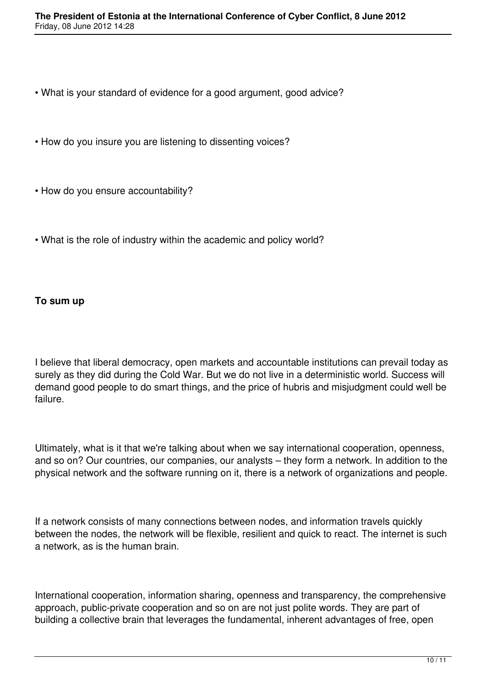- What is your standard of evidence for a good argument, good advice?
- How do you insure you are listening to dissenting voices?
- How do you ensure accountability?
- What is the role of industry within the academic and policy world?

## **To sum up**

I believe that liberal democracy, open markets and accountable institutions can prevail today as surely as they did during the Cold War. But we do not live in a deterministic world. Success will demand good people to do smart things, and the price of hubris and misjudgment could well be failure.

Ultimately, what is it that we're talking about when we say international cooperation, openness, and so on? Our countries, our companies, our analysts – they form a network. In addition to the physical network and the software running on it, there is a network of organizations and people.

If a network consists of many connections between nodes, and information travels quickly between the nodes, the network will be flexible, resilient and quick to react. The internet is such a network, as is the human brain.

International cooperation, information sharing, openness and transparency, the comprehensive approach, public-private cooperation and so on are not just polite words. They are part of building a collective brain that leverages the fundamental, inherent advantages of free, open